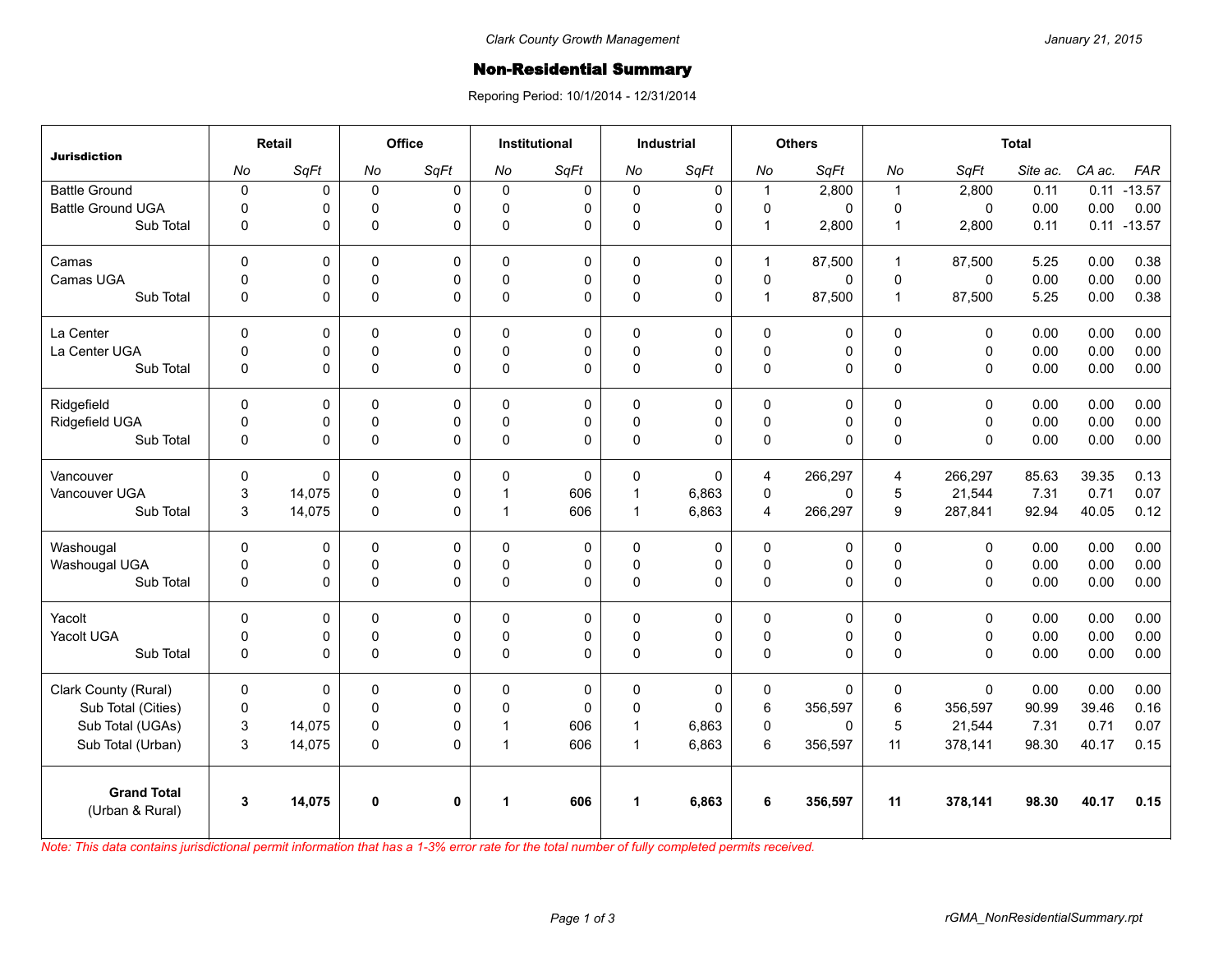## **Non-Residential Summary**

Reporing Period: 10/1/2014 - 12/31/2014

| <b>Jurisdiction</b>                   | Retail      |        | <b>Office</b> |              | <b>Institutional</b> |          | <b>Industrial</b> |             | <b>Others</b>           |          | <b>Total</b>   |             |          |        |                |
|---------------------------------------|-------------|--------|---------------|--------------|----------------------|----------|-------------------|-------------|-------------------------|----------|----------------|-------------|----------|--------|----------------|
|                                       | No          | SqFt   | No            | SqFt         | No                   | SqFt     | No                | SqFt        | No                      | SqFt     | No             | SqFt        | Site ac. | CA ac. | <b>FAR</b>     |
| <b>Battle Ground</b>                  | $\mathbf 0$ | 0      | $\mathbf 0$   | 0            | $\Omega$             | 0        | $\mathbf 0$       | 0           | $\mathbf{1}$            | 2,800    | $\overline{1}$ | 2,800       | 0.11     | 0.11   | $-13.57$       |
| <b>Battle Ground UGA</b>              | $\Omega$    | 0      | $\Omega$      | 0            | $\Omega$             | 0        | 0                 | $\mathbf 0$ | $\mathbf 0$             | 0        | $\Omega$       | $\Omega$    | 0.00     | 0.00   | 0.00           |
| Sub Total                             | $\mathbf 0$ | 0      | $\Omega$      | $\Omega$     | $\Omega$             | 0        | 0                 | $\mathbf 0$ | $\mathbf{1}$            | 2,800    | $\mathbf 1$    | 2,800       | 0.11     |        | $0.11 - 13.57$ |
| Camas                                 | $\Omega$    | 0      | $\Omega$      | $\Omega$     | $\Omega$             | 0        | $\mathbf{0}$      | $\mathbf 0$ | $\mathbf{1}$            | 87,500   | $\mathbf{1}$   | 87.500      | 5.25     | 0.00   | 0.38           |
| Camas UGA                             | $\mathbf 0$ | 0      | 0             | 0            | $\Omega$             | 0        | 0                 | $\pmb{0}$   | $\pmb{0}$               | 0        | 0              | $\mathbf 0$ | 0.00     | 0.00   | 0.00           |
| Sub Total                             | $\mathbf 0$ | 0      | 0             | $\Omega$     | $\Omega$             | 0        | $\Omega$          | $\Omega$    | $\mathbf{1}$            | 87,500   | $\overline{1}$ | 87,500      | 5.25     | 0.00   | 0.38           |
| La Center                             | $\pmb{0}$   | 0      | 0             | $\mathbf 0$  | $\Omega$             | 0        | 0                 | $\mathbf 0$ | 0                       | 0        | $\mathbf{0}$   | 0           | 0.00     | 0.00   | 0.00           |
| La Center UGA                         | $\mathbf 0$ | 0      | $\Omega$      | 0            | $\Omega$             | 0        | 0                 | $\mathbf 0$ | $\pmb{0}$               | 0        | $\Omega$       | $\mathbf 0$ | 0.00     | 0.00   | 0.00           |
| Sub Total                             | $\mathbf 0$ | 0      | 0             | $\Omega$     | $\Omega$             | 0        | 0                 | $\Omega$    | 0                       | 0        | $\Omega$       | $\Omega$    | 0.00     | 0.00   | 0.00           |
| Ridgefield                            | $\Omega$    | 0      | $\Omega$      | $\Omega$     | $\Omega$             | 0        | $\Omega$          | $\mathbf 0$ | 0                       | 0        | $\Omega$       | $\Omega$    | 0.00     | 0.00   | 0.00           |
| Ridgefield UGA                        | $\mathbf 0$ | 0      | $\pmb{0}$     | $\pmb{0}$    | $\Omega$             | 0        | $\mathsf 0$       | $\pmb{0}$   | $\pmb{0}$               | 0        | $\pmb{0}$      | $\mathbf 0$ | 0.00     | 0.00   | 0.00           |
| Sub Total                             | $\mathbf 0$ | 0      | $\Omega$      | $\Omega$     | $\Omega$             | 0        | $\mathbf 0$       | $\Omega$    | 0                       | 0        | $\Omega$       | $\Omega$    | 0.00     | 0.00   | 0.00           |
| Vancouver                             | $\Omega$    | 0      | $\Omega$      | $\Omega$     | $\Omega$             | 0        | $\Omega$          | $\Omega$    | $\overline{\mathbf{4}}$ | 266,297  | 4              | 266,297     | 85.63    | 39.35  | 0.13           |
| Vancouver UGA                         | 3           | 14,075 | 0             | $\mathbf 0$  | -1                   | 606      | $\mathbf{1}$      | 6,863       | 0                       | 0        | 5              | 21,544      | 7.31     | 0.71   | 0.07           |
| Sub Total                             | 3           | 14,075 | 0             | $\mathbf 0$  | $\mathbf 1$          | 606      | $\mathbf{1}$      | 6,863       | 4                       | 266,297  | 9              | 287,841     | 92.94    | 40.05  | 0.12           |
| Washougal                             | $\mathbf 0$ | 0      | 0             | 0            | $\Omega$             | 0        | $\mathbf 0$       | 0           | 0                       | 0        | $\Omega$       | $\Omega$    | 0.00     | 0.00   | 0.00           |
| Washougal UGA                         | $\mathbf 0$ | 0      | $\mathbf 0$   | $\mathbf 0$  | $\Omega$             | 0        | 0                 | $\mathbf 0$ | $\pmb{0}$               | 0        | $\Omega$       | $\Omega$    | 0.00     | 0.00   | 0.00           |
| Sub Total                             | $\mathbf 0$ | 0      | 0             | $\Omega$     | $\Omega$             | 0        | 0                 | $\mathbf 0$ | $\mathbf 0$             | 0        | $\mathbf 0$    | $\mathbf 0$ | 0.00     | 0.00   | 0.00           |
| Yacolt                                | $\Omega$    | 0      | $\Omega$      | $\Omega$     | $\Omega$             | 0        | $\Omega$          | $\mathbf 0$ | 0                       | 0        | $\Omega$       | $\Omega$    | 0.00     | 0.00   | 0.00           |
| Yacolt UGA                            | 0           | 0      | 0             | 0            | $\mathbf{0}$         | 0        | 0                 | 0           | $\mathsf 0$             | 0        | $\Omega$       | 0           | 0.00     | 0.00   | 0.00           |
| Sub Total                             | $\Omega$    | 0      | $\Omega$      | $\Omega$     | $\Omega$             | 0        | $\Omega$          | $\Omega$    | 0                       | $\Omega$ | $\Omega$       | $\Omega$    | 0.00     | 0.00   | 0.00           |
| Clark County (Rural)                  | $\mathbf 0$ | 0      | 0             | $\mathbf 0$  | 0                    | 0        | $\mathbf 0$       | $\mathbf 0$ | 0                       | 0        | $\mathbf 0$    | $\mathbf 0$ | 0.00     | 0.00   | 0.00           |
| Sub Total (Cities)                    | $\mathbf 0$ | 0      | $\mathbf 0$   | $\Omega$     | $\Omega$             | $\Omega$ | $\Omega$          | $\pmb{0}$   | 6                       | 356,597  | 6              | 356,597     | 90.99    | 39.46  | 0.16           |
| Sub Total (UGAs)                      | 3           | 14,075 | 0             | 0            | -1                   | 606      | $\mathbf{1}$      | 6,863       | $\pmb{0}$               | 0        | 5              | 21,544      | 7.31     | 0.71   | 0.07           |
| Sub Total (Urban)                     | 3           | 14,075 | 0             | $\Omega$     | $\mathbf 1$          | 606      | $\mathbf{1}$      | 6,863       | 6                       | 356,597  | 11             | 378,141     | 98.30    | 40.17  | 0.15           |
| <b>Grand Total</b><br>(Urban & Rural) | 3           | 14,075 | $\mathbf 0$   | $\mathbf{0}$ | 1                    | 606      | 1                 | 6,863       | 6                       | 356,597  | 11             | 378,141     | 98.30    | 40.17  | 0.15           |

*Note: This data contains jurisdictional permit information that has a 1-3% error rate for the total number of fully completed permits received.*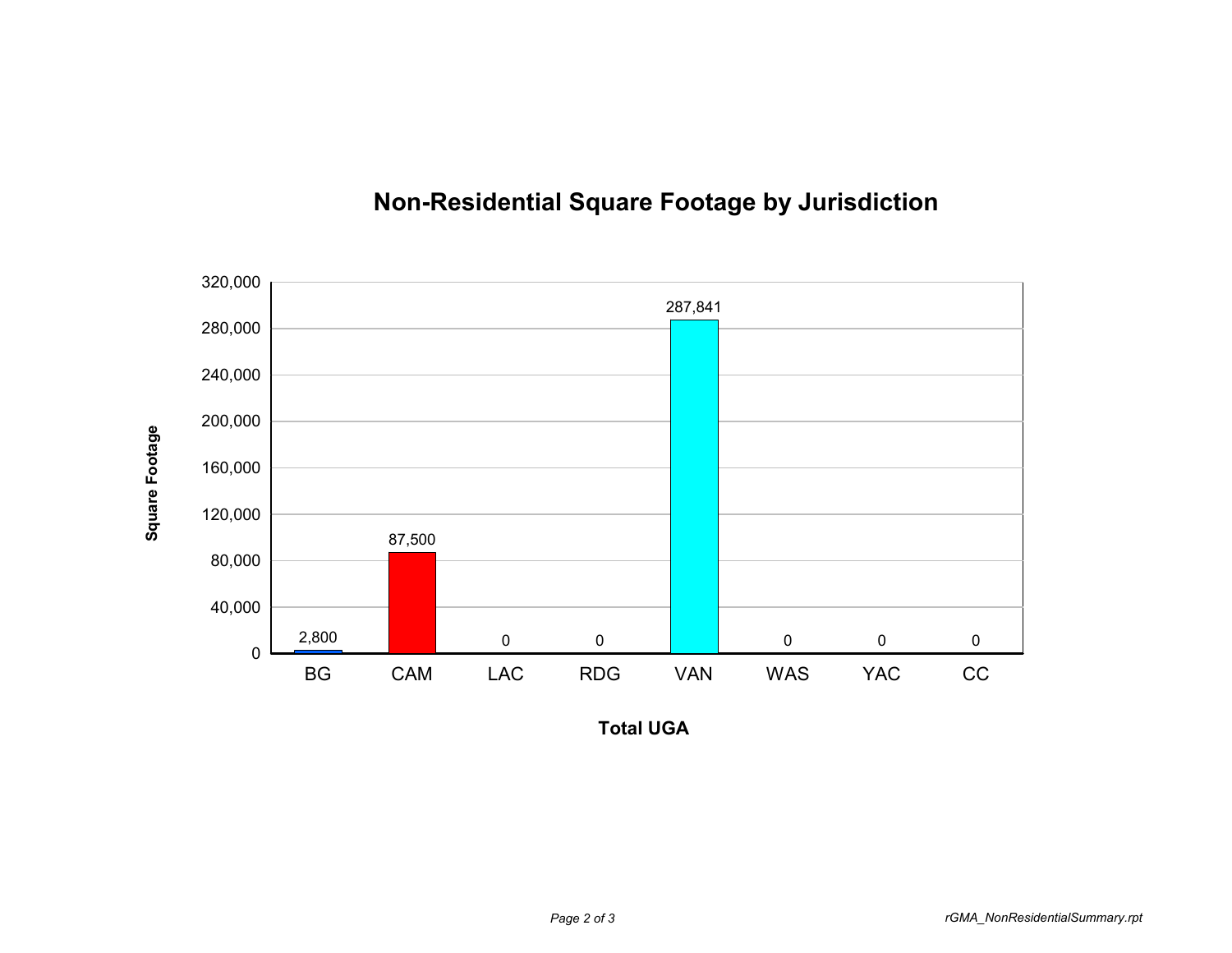

## **Non-Residential Square Footage by Jurisdiction**

**Total UGA**